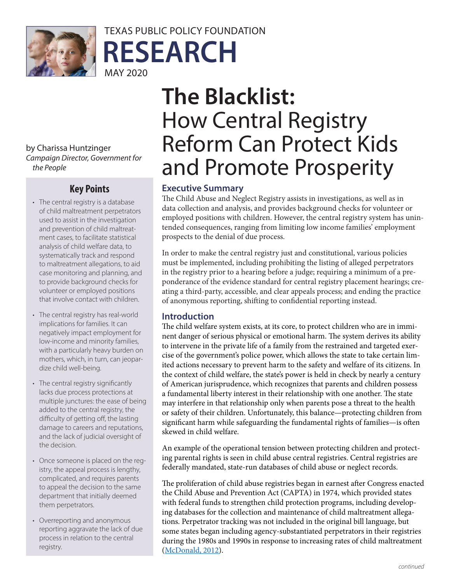

TEXAS PUBLIC POLICY FOUNDATION **RESEARCH** MAY 2020

by Charissa Huntzinger *Campaign Director, Government for the People*

### **Key Points**

- The central registry is a database of child maltreatment perpetrators used to assist in the investigation and prevention of child maltreatment cases, to facilitate statistical analysis of child welfare data, to systematically track and respond to maltreatment allegations, to aid case monitoring and planning, and to provide background checks for volunteer or employed positions that involve contact with children.
- The central registry has real-world implications for families. It can negatively impact employment for low-income and minority families, with a particularly heavy burden on mothers, which, in turn, can jeopardize child well-being.
- The central registry significantly lacks due process protections at multiple junctures: the ease of being added to the central registry, the difficulty of getting off, the lasting damage to careers and reputations, and the lack of judicial oversight of the decision.
- Once someone is placed on the registry, the appeal process is lengthy, complicated, and requires parents to appeal the decision to the same department that initially deemed them perpetrators.
- Overreporting and anonymous reporting aggravate the lack of due process in relation to the central registry.

# **The Blacklist:**  How Central Registry Reform Can Protect Kids and Promote Prosperity

### **Executive Summary**

The Child Abuse and Neglect Registry assists in investigations, as well as in data collection and analysis, and provides background checks for volunteer or employed positions with children. However, the central registry system has unintended consequences, ranging from limiting low income families' employment prospects to the denial of due process.

In order to make the central registry just and constitutional, various policies must be implemented, including prohibiting the listing of alleged perpetrators in the registry prior to a hearing before a judge; requiring a minimum of a preponderance of the evidence standard for central registry placement hearings; creating a third-party, accessible, and clear appeals process; and ending the practice of anonymous reporting, shifting to confidential reporting instead.

### **Introduction**

The child welfare system exists, at its core, to protect children who are in imminent danger of serious physical or emotional harm. The system derives its ability to intervene in the private life of a family from the restrained and targeted exercise of the government's police power, which allows the state to take certain limited actions necessary to prevent harm to the safety and welfare of its citizens. In the context of child welfare, the state's power is held in check by nearly a century of American jurisprudence, which recognizes that parents and children possess a fundamental liberty interest in their relationship with one another. The state may interfere in that relationship only when parents pose a threat to the health or safety of their children. Unfortunately, this balance—protecting children from significant harm while safeguarding the fundamental rights of families—is often skewed in child welfare.

An example of the operational tension between protecting children and protecting parental rights is seen in child abuse central registries. Central registries are federally mandated, state-run databases of child abuse or neglect records.

The proliferation of child abuse registries began in earnest after Congress enacted the Child Abuse and Prevention Act (CAPTA) in 1974, which provided states with federal funds to strengthen child protection programs, including developing databases for the collection and maintenance of child maltreatment allegations. Perpetrator tracking was not included in the original bill language, but some states began including agency-substantiated perpetrators in their registries during the 1980s and 1990s in response to increasing rates of child maltreatment ([McDonald, 2012](https://aspe.hhs.gov/report/assessing-feasibility-creating-and-maintaining-national-registry-child-maltreatment-perpetrators-research-report)).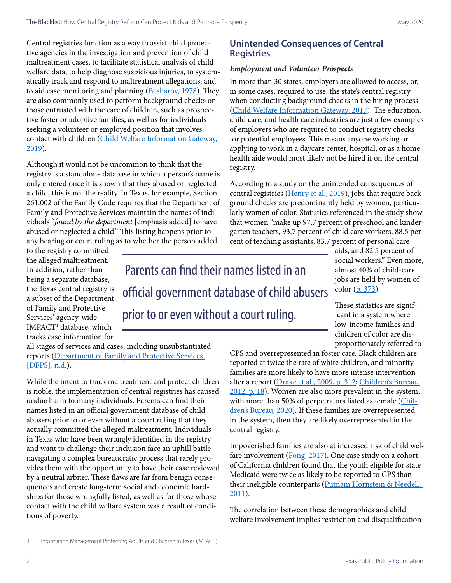Central registries function as a way to assist child protective agencies in the investigation and prevention of child maltreatment cases, to facilitate statistical analysis of child welfare data, to help diagnose suspicious injuries, to systematically track and respond to maltreatment allegations, and to aid case monitoring and planning [\(Besharov](https://pdfs.semanticscholar.org/7abb/cc7f45aa62ec2e36b9ad071f755e9ab7c14b.pdf), 1978). They are also commonly used to perform background checks on those entrusted with the care of children, such as prospective foster or adoptive families, as well as for individuals seeking a volunteer or employed position that involves contact with children ([Child Welfare Information Gateway,](https://www.childwelfare.gov/pubPDFs/background.pdf)  [2019](https://www.childwelfare.gov/pubPDFs/background.pdf)).

Although it would not be uncommon to think that the registry is a standalone database in which a person's name is only entered once it is shown that they abused or neglected a child, this is not the reality. In Texas, for example, Section 261.002 of the Family Code requires that the Department of Family and Protective Services maintain the names of individuals "*found by the department* [emphasis added] to have abused or neglected a child." This listing happens prior to any hearing or court ruling as to whether the person added

### **Unintended Consequences of Central Registries**

### *Employment and Volunteer Prospects*

In more than 30 states, employers are allowed to access, or, in some cases, required to use, the state's central registry when conducting background checks in the hiring process ([Child Welfare Information Gateway, 2017\)](https://www.childwelfare.gov/pubPDFs/confide.pdf). The education, child care, and health care industries are just a few examples of employers who are required to conduct registry checks for potential employees. This means anyone working or applying to work in a daycare center, hospital, or as a home health aide would most likely not be hired if on the central registry.

According to a study on the unintended consequences of central registries ([Henry et al., 2019](https://academic.oup.com/sw/article-abstract/64/4/373/5528031)), jobs that require background checks are predominantly held by women, particularly women of color. Statistics referenced in the study show that women "make up 97.7 percent of preschool and kindergarten teachers, 93.7 percent of child care workers, 88.5 percent of teaching assistants, 83.7 percent of personal care

to the registry committed the alleged maltreatment. In addition, rather than being a separate database, the Texas central registry is a subset of the Department of Family and Protective Services' agency-wide IMPACT1 database, which tracks case information for

 Parents can find their names listed in an official government database of child abusers prior to or even without a court ruling.

aids, and 82.5 percent of social workers." Even more, almost 40% of child-care jobs are held by women of color ([p. 373\)](https://academic.oup.com/sw/article-abstract/64/4/373/5528031).

These statistics are significant in a system where low-income families and children of color are disproportionately referred to

all stages of services and cases, including unsubstantiated reports ([Department of Family and Protective Services](https://www.dfps.state.tx.us/Doing_Business/IMPACT_Modernization/default.asp)  [\[DFPS\], n.d.\)](https://www.dfps.state.tx.us/Doing_Business/IMPACT_Modernization/default.asp).

While the intent to track maltreatment and protect children is noble, the implementation of central registries has caused undue harm to many individuals. Parents can find their names listed in an official government database of child abusers prior to or even without a court ruling that they actually committed the alleged maltreatment. Individuals in Texas who have been wrongly identified in the registry and want to challenge their inclusion face an uphill battle navigating a complex bureaucratic process that rarely provides them with the opportunity to have their case reviewed by a neutral arbiter. These flaws are far from benign consequences and create long-term social and economic hardships for those wrongfully listed, as well as for those whose contact with the child welfare system was a result of conditions of poverty.

CPS and overrepresented in foster care. Black children are reported at twice the rate of white children, and minority families are more likely to have more intense intervention after a report [\(Drake et al., 2009, p. 312](https://doi.org/10.1016/j.childyouth.2008.08.004); [Children's Bureau,](https://www.acf.hhs.gov/sites/default/files/cb/cm11.pdf)  [2012, p. 18](https://www.acf.hhs.gov/sites/default/files/cb/cm11.pdf)). Women are also more prevalent in the system, with more than 50% of perpetrators listed as female [\(Chil](https://www.acf.hhs.gov/sites/default/files/cb/cm2018.pdf)[dren's Bureau, 2020\)](https://www.acf.hhs.gov/sites/default/files/cb/cm2018.pdf). If these families are overrepresented in the system, then they are likely overrepresented in the central registry.

Impoverished families are also at increased risk of child wel-fare involvement ([Fong, 2017](https://doi.org/10.1016/j.childyouth.2016.10.011)). One case study on a cohort of California children found that the youth eligible for state Medicaid were twice as likely to be reported to CPS than their ineligible counterparts (Putnam Hornstein & Needell, [2011](https://doi.org/10.1016/j.childyouth.2011.07.010)).

The correlation between these demographics and child welfare involvement implies restriction and disqualification

<sup>1</sup> Information Management Protecting Adults and Children in Texas (IMPACT)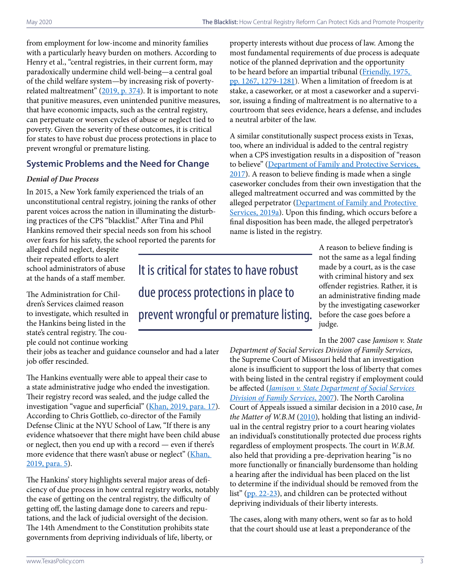from employment for low-income and minority families with a particularly heavy burden on mothers. According to Henry et al., "central registries, in their current form, may paradoxically undermine child well-being—a central goal of the child welfare system—by increasing risk of poverty--related maltreatment" [\(2019, p. 374\)](https://academic.oup.com/sw/article-abstract/64/4/373/5528031). It is important to note that punitive measures, even unintended punitive measures, that have economic impacts, such as the central registry, can perpetuate or worsen cycles of abuse or neglect tied to poverty. Given the severity of these outcomes, it is critical for states to have robust due process protections in place to prevent wrongful or premature listing.

### **Systemic Problems and the Need for Change**

### *Denial of Due Process*

In 2015, a New York family experienced the trials of an unconstitutional central registry, joining the ranks of other parent voices across the nation in illuminating the disturbing practices of the CPS "blacklist." After Tina and Phil Hankins removed their special needs son from his school over fears for his safety, the school reported the parents for

alleged child neglect, despite their repeated efforts to alert school administrators of abuse at the hands of a staff member.

The Administration for Children's Services claimed reason to investigate, which resulted in the Hankins being listed in the state's central registry. The couple could not continue working

## It is critical for states to have robust due process protections in place to prevent wrongful or premature listing.

their jobs as teacher and guidance counselor and had a later job offer rescinded.

The Hankins eventually were able to appeal their case to a state administrative judge who ended the investigation. Their registry record was sealed, and the judge called the investigation "vague and superficial" [\(Khan, 2019, para. 17](https://www.wnyc.org/story/state-system-meant-keep-children-safe-actually-hinders-family-stability-advocates-say/)). According to Chris Gottlieb, co-director of the Family Defense Clinic at the NYU School of Law, "If there is any evidence whatsoever that there might have been child abuse or neglect, then you end up with a record — even if there's more evidence that there wasn't abuse or neglect" (Khan, [2019, para. 5\)](https://www.wnyc.org/story/state-system-meant-keep-children-safe-actually-hinders-family-stability-advocates-say/).

The Hankins' story highlights several major areas of deficiency of due process in how central registry works, notably the ease of getting on the central registry, the difficulty of getting off, the lasting damage done to careers and reputations, and the lack of judicial oversight of the decision. The 14th Amendment to the Constitution prohibits state governments from depriving individuals of life, liberty, or

property interests without due process of law. Among the most fundamental requirements of due process is adequate notice of the planned deprivation and the opportunity to be heard before an impartial tribunal (Friendly, 1975, [pp. 1267, 1279-1281](https://scholarship.law.upenn.edu/cgi/viewcontent.cgi?article=5317&context=penn_law_review)). When a limitation of freedom is at stake, a caseworker, or at most a caseworker and a supervisor, issuing a finding of maltreatment is no alternative to a courtroom that sees evidence, hears a defense, and includes a neutral arbiter of the law.

A similar constitutionally suspect process exists in Texas, too, where an individual is added to the central registry when a CPS investigation results in a disposition of "reason to believe" (Department of Family and Protective Services, [2017](https://www.dfps.state.tx.us/handbooks/Background_Checks/Files/BC_pg_6000.asp)). A reason to believe finding is made when a single caseworker concludes from their own investigation that the alleged maltreatment occurred and was committed by the alleged perpetrator ([Department of Family and Protective](https://www.dfps.state.tx.us/handbooks/CPS/Files/CPS_pg_2200.asp#CPS_2281_2)  [Services, 2019a\)](https://www.dfps.state.tx.us/handbooks/CPS/Files/CPS_pg_2200.asp#CPS_2281_2). Upon this finding, which occurs before a final disposition has been made, the alleged perpetrator's name is listed in the registry.

> A reason to believe finding is not the same as a legal finding made by a court, as is the case with criminal history and sex offender registries. Rather, it is an administrative finding made by the investigating caseworker before the case goes before a judge.

In the 2007 case *Jamison v. State* 

*Department of Social Services Division of Family Services*, the Supreme Court of Missouri held that an investigation alone is insufficient to support the loss of liberty that comes with being listed in the central registry if employment could be affected (*[Jamison v. State Department of Social Services](https://law.justia.com/cases/missouri/supreme-court/2007/sc-87360-1.html)  [Division of Family Services](https://law.justia.com/cases/missouri/supreme-court/2007/sc-87360-1.html)*, 2007). The North Carolina Court of Appeals issued a similar decision in a 2010 case, *In the Matter of W.B.M* ([2010\)](https://cases.justia.com/north-carolina/court-of-appeals/090205-1.pdf?ts=1462400764), holding that listing an individual in the central registry prior to a court hearing violates an individual's constitutionally protected due process rights regardless of employment prospects. The court in *W.B.M.*  also held that providing a pre-deprivation hearing "is no more functionally or financially burdensome than holding a hearing after the individual has been placed on the list to determine if the individual should be removed from the list" [\(pp. 22-23\)](https://cases.justia.com/north-carolina/court-of-appeals/090205-1.pdf?ts=1462400764), and children can be protected without depriving individuals of their liberty interests.

The cases, along with many others, went so far as to hold that the court should use at least a preponderance of the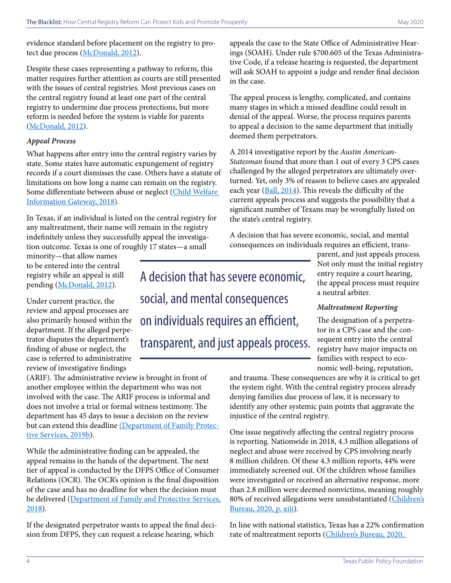evidence standard before placement on the registry to pro-tect due process [\(McDonald, 2012\)](https://aspe.hhs.gov/report/assessing-feasibility-creating-and-maintaining-national-registry-child-maltreatment-perpetrators-research-report).

Despite these cases representing a pathway to reform, this matter requires further attention as courts are still presented with the issues of central registries. Most previous cases on the central registry found at least one part of the central registry to undermine due process protections, but more reform is needed before the system is viable for parents ([McDonald, 2012](https://aspe.hhs.gov/report/assessing-feasibility-creating-and-maintaining-national-registry-child-maltreatment-perpetrators-research-report)).

#### *Appeal Process*

What happens after entry into the central registry varies by state. Some states have automatic expungement of registry records if a court dismisses the case. Others have a statute of limitations on how long a name can remain on the registry. Some differentiate between abuse or neglect (Child Welfare [Information Gateway, 2018](https://www.childwelfare.gov/topics/systemwide/laws-policies/statutes/centreg/)).

In Texas, if an individual is listed on the central registry for any maltreatment, their name will remain in the registry indefinitely unless they successfully appeal the investigation outcome. Texas is one of roughly 17 states—a small

minority—that allow names to be entered into the central registry while an appeal is still pending ([McDonald, 2012\)](https://aspe.hhs.gov/report/assessing-feasibility-creating-and-maintaining-national-registry-child-maltreatment-perpetrators-research-report).

Under current practice, the review and appeal processes are also primarily housed within the department. If the alleged perpetrator disputes the department's finding of abuse or neglect, the case is referred to administrative review of investigative findings

A decision that has severe economic, social, and mental consequences on individuals requires an efficient, transparent, and just appeals process.

(ARIF). The administrative review is brought in front of another employee within the department who was not involved with the case. The ARIF process is informal and does not involve a trial or formal witness testimony. The department has 45 days to issue a decision on the review but can extend this deadline [\(Department of Family Protec](https://www.dfps.state.tx.us/handbooks/CPS/Files/CPS_pg_2200.asp#CPS_2281_2)[tive Services, 2019b](https://www.dfps.state.tx.us/handbooks/CPS/Files/CPS_pg_2200.asp#CPS_2281_2)).

While the administrative finding can be appealed, the appeal remains in the hands of the department. The next tier of appeal is conducted by the DFPS Office of Consumer Relations (OCR). The OCR's opinion is the final disposition of the case and has no deadline for when the decision must be delivered (Department of Family and Protective Services, [2018](https://www.dfps.state.tx.us/handbooks/OCR/Files/OCR_pg_5000.asp#OCR_5000)).

If the designated perpetrator wants to appeal the final decision from DFPS, they can request a release hearing, which

appeals the case to the State Office of Administrative Hearings (SOAH). Under rule §700.605 of the Texas Administrative Code, if a release hearing is requested, the department will ask SOAH to appoint a judge and render final decision in the case.

The appeal process is lengthy, complicated, and contains many stages in which a missed deadline could result in denial of the appeal. Worse, the process requires parents to appeal a decision to the same department that initially deemed them perpetrators.

A 2014 investigative report by the *Austin American-Statesman* found that more than 1 out of every 3 CPS cases challenged by the alleged perpetrators are ultimately overturned. Yet, only 3% of reason to believe cases are appealed each year [\(Ball, 2014](https://www.statesman.com/news/20140524/overturned-child-abuse-rulings-point-to-problems-advocates-say)). This reveals the difficulty of the current appeals process and suggests the possibility that a significant number of Texans may be wrongfully listed on the state's central registry.

A decision that has severe economic, social, and mental consequences on individuals requires an efficient, trans-

> parent, and just appeals process. Not only must the initial registry entry require a court hearing, the appeal process must require a neutral arbiter.

### *Maltreatment Reporting*

The designation of a perpetrator in a CPS case and the consequent entry into the central registry have major impacts on families with respect to economic well-being, reputation,

and trauma. These consequences are why it is critical to get the system right. With the central registry process already denying families due process of law, it is necessary to identify any other systemic pain points that aggravate the injustice of the central registry.

One issue negatively affecting the central registry process is reporting. Nationwide in 2018, 4.3 million allegations of neglect and abuse were received by CPS involving nearly 8 million children. Of these 4.3 million reports, 44% were immediately screened out. Of the children whose families were investigated or received an alternative response, more than 2.8 million were deemed nonvictims, meaning roughly 80% of received allegations were unsubstantiated [\(Children's](https://www.acf.hhs.gov/sites/default/files/cb/cm2018.pdf) [Bureau, 2020, p. xiii\)](https://www.acf.hhs.gov/sites/default/files/cb/cm2018.pdf).

In line with national statistics, Texas has a 22% confirmation rate of maltreatment reports [\(Children's Bureau, 2020,](https://www.acf.hhs.gov/sites/default/files/cb/cm2018.pdf)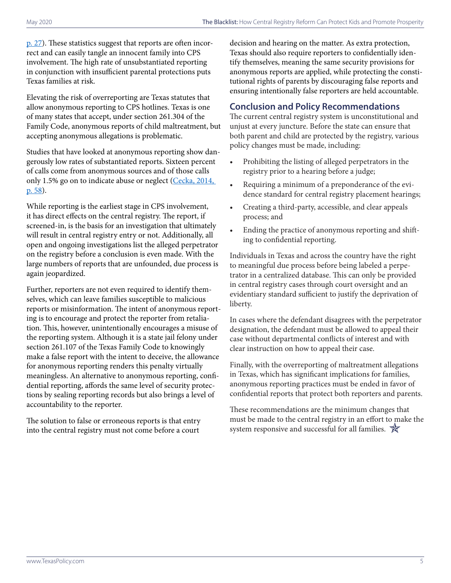[p. 27](https://www.acf.hhs.gov/sites/default/files/cb/cm2018.pdf)). These statistics suggest that reports are often incorrect and can easily tangle an innocent family into CPS involvement. The high rate of unsubstantiated reporting in conjunction with insufficient parental protections puts Texas families at risk.

Elevating the risk of overreporting are Texas statutes that allow anonymous reporting to CPS hotlines. Texas is one of many states that accept, under section 261.304 of the Family Code, anonymous reports of child maltreatment, but accepting anonymous allegations is problematic.

Studies that have looked at anonymous reporting show dangerously low rates of substantiated reports. Sixteen percent of calls come from anonymous sources and of those calls only 1.5% go on to indicate abuse or neglect (Cecka, 2014, [p. 58](https://poseidon01.ssrn.com/delivery.php?ID=077084099072010069107082122116024092029025017074071027094025121076084109007088127074114057025013024031019075014098027071007011018023002029065078024102009112070095070019081125018065091089026010022076080093024118001015111000070124079005121017103123104&EXT=pdf)).

While reporting is the earliest stage in CPS involvement, it has direct effects on the central registry. The report, if screened-in, is the basis for an investigation that ultimately will result in central registry entry or not. Additionally, all open and ongoing investigations list the alleged perpetrator on the registry before a conclusion is even made. With the large numbers of reports that are unfounded, due process is again jeopardized.

Further, reporters are not even required to identify themselves, which can leave families susceptible to malicious reports or misinformation. The intent of anonymous reporting is to encourage and protect the reporter from retaliation. This, however, unintentionally encourages a misuse of the reporting system. Although it is a state jail felony under section 261.107 of the Texas Family Code to knowingly make a false report with the intent to deceive, the allowance for anonymous reporting renders this penalty virtually meaningless. An alternative to anonymous reporting, confidential reporting, affords the same level of security protections by sealing reporting records but also brings a level of accountability to the reporter.

The solution to false or erroneous reports is that entry into the central registry must not come before a court

decision and hearing on the matter. As extra protection, Texas should also require reporters to confidentially identify themselves, meaning the same security provisions for anonymous reports are applied, while protecting the constitutional rights of parents by discouraging false reports and ensuring intentionally false reporters are held accountable.

### **Conclusion and Policy Recommendations**

The current central registry system is unconstitutional and unjust at every juncture. Before the state can ensure that both parent and child are protected by the registry, various policy changes must be made, including:

- Prohibiting the listing of alleged perpetrators in the registry prior to a hearing before a judge;
- Requiring a minimum of a preponderance of the evidence standard for central registry placement hearings;
- Creating a third-party, accessible, and clear appeals process; and
- Ending the practice of anonymous reporting and shifting to confidential reporting.

Individuals in Texas and across the country have the right to meaningful due process before being labeled a perpetrator in a centralized database. This can only be provided in central registry cases through court oversight and an evidentiary standard sufficient to justify the deprivation of liberty.

In cases where the defendant disagrees with the perpetrator designation, the defendant must be allowed to appeal their case without departmental conflicts of interest and with clear instruction on how to appeal their case.

Finally, with the overreporting of maltreatment allegations in Texas, which has significant implications for families, anonymous reporting practices must be ended in favor of confidential reports that protect both reporters and parents.

These recommendations are the minimum changes that must be made to the central registry in an effort to make the system responsive and successful for all families.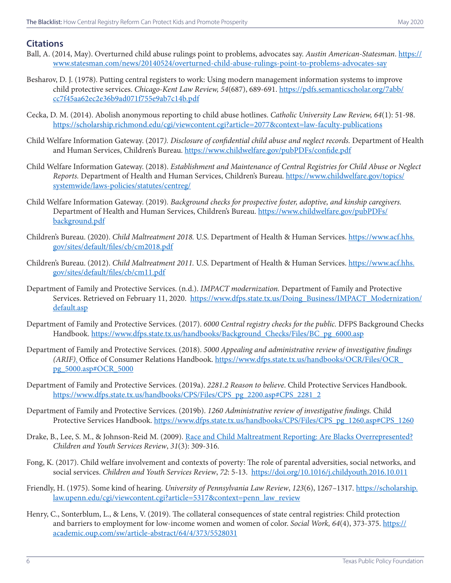### **Citations**

- Ball, A. (2014, May). Overturned child abuse rulings point to problems, advocates say. *Austin American-Statesman*. [https://](https://www.statesman.com/news/20140524/overturned-child-abuse-rulings-point-to-problems-advocates-say) [www.statesman.com/news/20140524/overturned-child-abuse-rulings-point-to-problems-advocates-say](https://www.statesman.com/news/20140524/overturned-child-abuse-rulings-point-to-problems-advocates-say)
- Besharov, D. J. (1978). Putting central registers to work: Using modern management information systems to improve child protective services. *Chicago-Kent Law Review, 54*(687), 689-691. [https://pdfs.semanticscholar.org/7abb/](https://pdfs.semanticscholar.org/7abb/cc7f45aa62ec2e36b9ad071f755e9ab7c14b.pdf) [cc7f45aa62ec2e36b9ad071f755e9ab7c14b.pdf](https://pdfs.semanticscholar.org/7abb/cc7f45aa62ec2e36b9ad071f755e9ab7c14b.pdf)
- Cecka, D. M. (2014). Abolish anonymous reporting to child abuse hotlines. *Catholic University Law Review, 64*(1): 51-98. <https://scholarship.richmond.edu/cgi/viewcontent.cgi?article=2077&context=law-faculty-publications>
- Child Welfare Information Gateway. (2017*). Disclosure of confidential child abuse and neglect records.* Department of Health and Human Services, Children's Bureau. <https://www.childwelfare.gov/pubPDFs/confide.pdf>
- Child Welfare Information Gateway. (2018). *Establishment and Maintenance of Central Registries for Child Abuse or Neglect Reports.* Department of Health and Human Services, Children's Bureau. [https://www.childwelfare.gov/topics/](https://www.childwelfare.gov/topics/systemwide/laws-policies/statutes/centreg/) [systemwide/laws-policies/statutes/centreg/](https://www.childwelfare.gov/topics/systemwide/laws-policies/statutes/centreg/)
- Child Welfare Information Gateway. (2019)*. Background checks for prospective foster, adoptive, and kinship caregivers.*  Department of Health and Human Services, Children's Bureau. [https://www.childwelfare.gov/pubPDFs/](https://www.childwelfare.gov/pubPDFs/background.pdf) [background.pdf](https://www.childwelfare.gov/pubPDFs/background.pdf)
- Children's Bureau. (2020). *[Child Maltreatment 2018](https://www.acf.hhs.gov/sites/default/files/cb/cm2018.pdf).* U.S. Department of Health & Human Services. [https://www.acf.hhs.](https://www.acf.hhs.gov/sites/default/files/cb/cm2018.pdf) [gov/sites/default/files/cb/cm2018.pdf](https://www.acf.hhs.gov/sites/default/files/cb/cm2018.pdf)
- Children's Bureau. (2012). *Child Maltreatment 2011.* U.S. Department of Health & Human Services. [https://www.acf.hhs.](https://www.acf.hhs.gov/sites/default/files/cb/cm11.pdf) [gov/sites/default/files/cb/cm11.pdf](https://www.acf.hhs.gov/sites/default/files/cb/cm11.pdf)
- Department of Family and Protective Services. (n.d.). *IMPACT modernization.* Department of Family and Protective Services. Retrieved on February 11, 2020. [https://www.dfps.state.tx.us/Doing\\_Business/IMPACT\\_Modernization/](https://www.dfps.state.tx.us/Doing_Business/IMPACT_Modernization/default.asp) [default.asp](https://www.dfps.state.tx.us/Doing_Business/IMPACT_Modernization/default.asp)
- Department of Family and Protective Services. (2017). *6000 Central registry checks for the public.* DFPS Background Checks Handbook. [https://www.dfps.state.tx.us/handbooks/Background\\_Checks/Files/BC\\_pg\\_6000.asp](https://www.dfps.state.tx.us/handbooks/Background_Checks/Files/BC_pg_6000.asp)
- Department of Family and Protective Services. (2018). *5000 Appealing and administrative review of investigative findings (ARIF).* Office of Consumer Relations Handbook. https://www.dfps.state.tx.us/handbooks/OCR/Files/OCR\_ pg\_5000.asp#OCR\_5000
- Department of Family and Protective Services. (2019a). *2281.2 Reason to believe*. Child Protective Services Handbook. https://www.dfps.state.tx.us/handbooks/CPS/Files/CPS\_pg\_2200.asp#CPS\_2281\_2
- Department of Family and Protective Services. (2019b). *1260 Administrative review of investigative findings.* Child Protective Services Handbook. https://www.dfps.state.tx.us/handbooks/CPS/Files/CPS\_pg\_1260.asp#CPS\_1260
- Drake, B., Lee, S. M., & Johnson-Reid M. (2009). [Race and Child Maltreatment Reporting: Are Blacks Overrepresented?](https://doi.org/10.1016/j.childyouth.2008.08.004) *Children and Youth Services Review*, *31*(3): 309-316.
- Fong, K. (2017). Child welfare involvement and contexts of poverty: The role of parental adversities, social networks, and social services. *Children and Youth Services Review*, *72*: 5-13. <https://doi.org/10.1016/j.childyouth.2016.10.011>
- Friendly, H. (1975). Some kind of hearing. *University of Pennsylvania Law Review*, *123*(6), 1267–1317. [https://scholarship.](https://scholarship.law.upenn.edu/cgi/viewcontent.cgi?article=5317&context=penn_law_review) [law.upenn.edu/cgi/viewcontent.cgi?article=5317&context=penn\\_law\\_review](https://scholarship.law.upenn.edu/cgi/viewcontent.cgi?article=5317&context=penn_law_review)
- Henry, C., Sonterblum, L., & Lens, V. (2019). The collateral consequences of state central registries: Child protection and barriers to employment for low-income women and women of color. *Social Work, 64*(4), 373-375. [https://](https://academic.oup.com/sw/article-abstract/64/4/373/5528031) [academic.oup.com/sw/article-abstract/64/4/373/5528031](https://academic.oup.com/sw/article-abstract/64/4/373/5528031)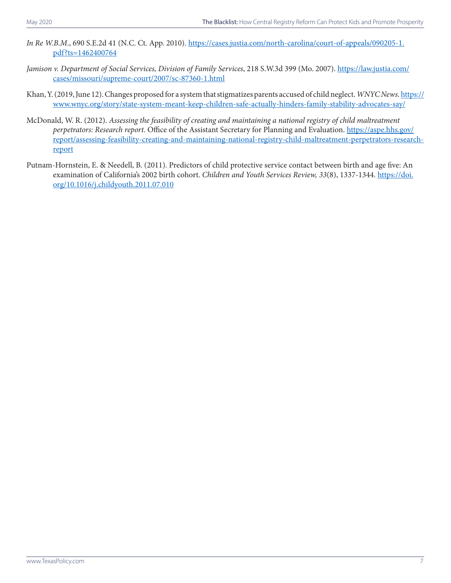- *In Re W.B.M.*, 690 S.E.2d 41 (N.C. Ct. App. 2010). [https://cases.justia.com/north-carolina/court-of-appeals/090205-1.](https://cases.justia.com/north-carolina/court-of-appeals/090205-1.pdf?ts=1462400764) [pdf?ts=1462400764](https://cases.justia.com/north-carolina/court-of-appeals/090205-1.pdf?ts=1462400764)
- *Jamison v. Department of Social Services, Division of Family Services*, 218 S.W.3d 399 (Mo. 2007). [https://law.justia.com/](https://law.justia.com/cases/missouri/supreme-court/2007/sc-87360-1.html) [cases/missouri/supreme-court/2007/sc-87360-1.html](https://law.justia.com/cases/missouri/supreme-court/2007/sc-87360-1.html)
- Khan, Y. (2019, June 12). Changes proposed for a system that stigmatizes parents accused of child neglect. *WNYC News.* [https://](https://www.wnyc.org/story/state-system-meant-keep-children-safe-actually-hinders-family-stability-advocates-say/) [www.wnyc.org/story/state-system-meant-keep-children-safe-actually-hinders-family-stability-advocates-say/](https://www.wnyc.org/story/state-system-meant-keep-children-safe-actually-hinders-family-stability-advocates-say/)
- McDonald, W. R. (2012). *Assessing the feasibility of creating and maintaining a national registry of child maltreatment perpetrators: Research report.* Office of the Assistant Secretary for Planning and Evaluation. [https://aspe.hhs.gov/](https://aspe.hhs.gov/report/assessing-feasibility-creating-and-maintaining-national-registry-child-maltreatment-perpetrators-research-report) [report/assessing-feasibility-creating-and-maintaining-national-registry-child-maltreatment-perpetrators-research](https://aspe.hhs.gov/report/assessing-feasibility-creating-and-maintaining-national-registry-child-maltreatment-perpetrators-research-report)[report](https://aspe.hhs.gov/report/assessing-feasibility-creating-and-maintaining-national-registry-child-maltreatment-perpetrators-research-report)
- Putnam-Hornstein, E. & Needell, B. (2011). Predictors of child protective service contact between birth and age five: An examination of California's 2002 birth cohort. *Children and Youth Services Review, 33*(8), 1337-1344. [https://doi.](https://doi.org/10.1016/j.childyouth.2011.07.010 ) [org/10.1016/j.childyouth.2011.07.010](https://doi.org/10.1016/j.childyouth.2011.07.010 )